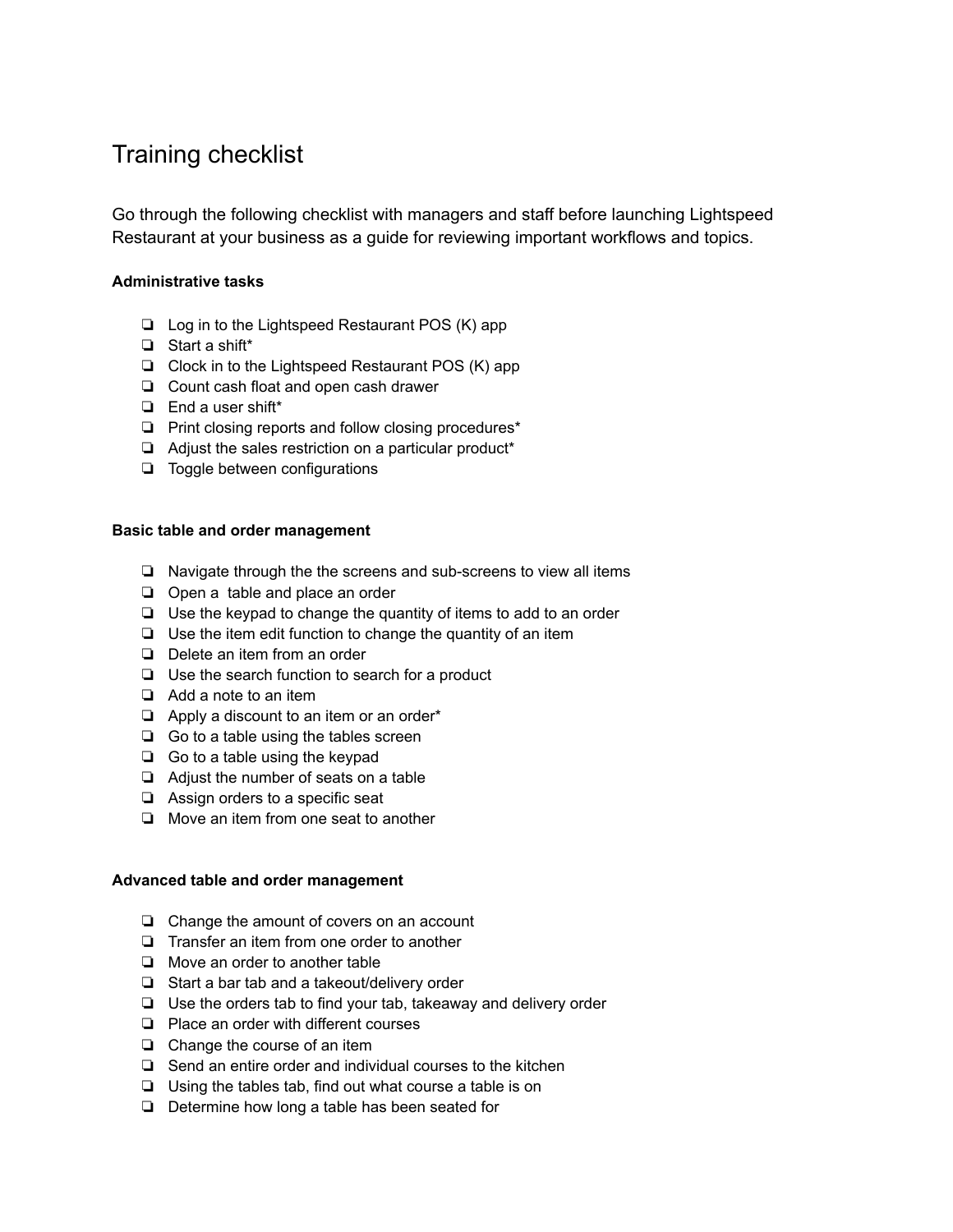# Training checklist

Go through the following checklist with managers and staff before launching Lightspeed Restaurant at your business as a guide for reviewing important workflows and topics.

## **Administrative tasks**

- ❏ Log in to the Lightspeed Restaurant POS (K) app
- ❏ Start a shift\*
- ❏ Clock in to the Lightspeed Restaurant POS (K) app
- ❏ Count cash float and open cash drawer
- ❏ End a user shift\*
- ❏ Print closing reports and follow closing procedures\*
- ❏ Adjust the sales restriction on a particular product\*
- ❏ Toggle between configurations

### **Basic table and order management**

- ❏ Navigate through the the screens and sub-screens to view all items
- ❏ Open a table and place an order
- ❏ Use the keypad to change the quantity of items to add to an order
- ❏ Use the item edit function to change the quantity of an item
- ❏ Delete an item from an order
- ❏ Use the search function to search for a product
- ❏ Add a note to an item
- ❏ Apply a discount to an item or an order\*
- ❏ Go to a table using the tables screen
- ❏ Go to a table using the keypad
- ❏ Adjust the number of seats on a table
- ❏ Assign orders to a specific seat
- ❏ Move an item from one seat to another

#### **Advanced table and order management**

- ❏ Change the amount of covers on an account
- ❏ Transfer an item from one order to another
- ❏ Move an order to another table
- ❏ Start a bar tab and a takeout/delivery order
- ❏ Use the orders tab to find your tab, takeaway and delivery order
- ❏ Place an order with different courses
- ❏ Change the course of an item
- ❏ Send an entire order and individual courses to the kitchen
- ❏ Using the tables tab, find out what course a table is on
- ❏ Determine how long a table has been seated for